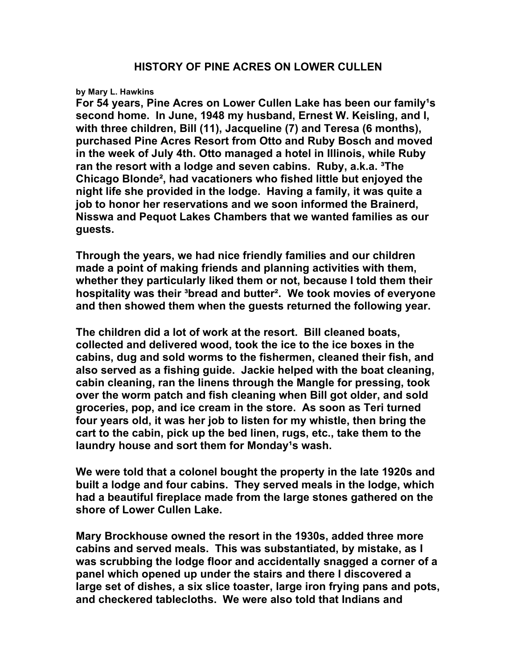## **by Mary L. Hawkins**

For 54 years, Pine Acres on Lower Cullen Lake has been our family<sup>1</sup>s **second home. In June, 1948 my husband, Ernest W. Keisling, and I, with three children, Bill (11), Jacqueline (7) and Teresa (6 months), purchased Pine Acres Resort from Otto and Ruby Bosch and moved in the week of July 4th. Otto managed a hotel in Illinois, while Ruby ran the resort with a lodge and seven cabins. Ruby, a.k.a. ³The Chicago Blonde², had vacationers who fished little but enjoyed the night life she provided in the lodge. Having a family, it was quite a job to honor her reservations and we soon informed the Brainerd, Nisswa and Pequot Lakes Chambers that we wanted families as our guests.**

**Through the years, we had nice friendly families and our children made a point of making friends and planning activities with them, whether they particularly liked them or not, because I told them their hospitality was their ³bread and butter². We took movies of everyone and then showed them when the guests returned the following year.**

**The children did a lot of work at the resort. Bill cleaned boats, collected and delivered wood, took the ice to the ice boxes in the cabins, dug and sold worms to the fishermen, cleaned their fish, and also served as a fishing guide. Jackie helped with the boat cleaning, cabin cleaning, ran the linens through the Mangle for pressing, took over the worm patch and fish cleaning when Bill got older, and sold groceries, pop, and ice cream in the store. As soon as Teri turned four years old, it was her job to listen for my whistle, then bring the cart to the cabin, pick up the bed linen, rugs, etc., take them to the**  laundry house and sort them for Monday<sup>1</sup>s wash.

**We were told that a colonel bought the property in the late 1920s and built a lodge and four cabins. They served meals in the lodge, which had a beautiful fireplace made from the large stones gathered on the shore of Lower Cullen Lake.**

**Mary Brockhouse owned the resort in the 1930s, added three more cabins and served meals. This was substantiated, by mistake, as I was scrubbing the lodge floor and accidentally snagged a corner of a panel which opened up under the stairs and there I discovered a large set of dishes, a six slice toaster, large iron frying pans and pots, and checkered tablecloths. We were also told that Indians and**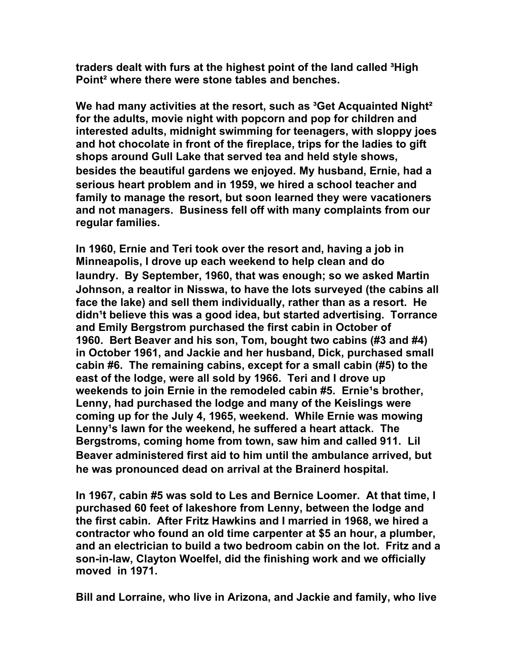**traders dealt with furs at the highest point of the land called ³High Point² where there were stone tables and benches.**

**We had many activities at the resort, such as ³Get Acquainted Night² for the adults, movie night with popcorn and pop for children and interested adults, midnight swimming for teenagers, with sloppy joes and hot chocolate in front of the fireplace, trips for the ladies to gift shops around Gull Lake that served tea and held style shows, besides the beautiful gardens we enjoyed. My husband, Ernie, had a serious heart problem and in 1959, we hired a school teacher and family to manage the resort, but soon learned they were vacationers and not managers. Business fell off with many complaints from our regular families.**

**In 1960, Ernie and Teri took over the resort and, having a job in Minneapolis, I drove up each weekend to help clean and do laundry. By September, 1960, that was enough; so we asked Martin Johnson, a realtor in Nisswa, to have the lots surveyed (the cabins all face the lake) and sell them individually, rather than as a resort. He didn¹t believe this was a good idea, but started advertising. Torrance and Emily Bergstrom purchased the first cabin in October of 1960. Bert Beaver and his son, Tom, bought two cabins (#3 and #4) in October 1961, and Jackie and her husband, Dick, purchased small cabin #6. The remaining cabins, except for a small cabin (#5) to the east of the lodge, were all sold by 1966. Teri and I drove up weekends to join Ernie in the remodeled cabin #5. Ernie<sup>1</sup>s brother, Lenny, had purchased the lodge and many of the Keislings were coming up for the July 4, 1965, weekend. While Ernie was mowing**  Lenny<sup><sup>1</sup>s lawn for the weekend, he suffered a heart attack. The</sup> **Bergstroms, coming home from town, saw him and called 911. Lil Beaver administered first aid to him until the ambulance arrived, but he was pronounced dead on arrival at the Brainerd hospital.**

**In 1967, cabin #5 was sold to Les and Bernice Loomer. At that time, I purchased 60 feet of lakeshore from Lenny, between the lodge and the first cabin. After Fritz Hawkins and I married in 1968, we hired a contractor who found an old time carpenter at \$5 an hour, a plumber, and an electrician to build a two bedroom cabin on the lot. Fritz and a son-in-law, Clayton Woelfel, did the finishing work and we officially moved in 1971.**

**Bill and Lorraine, who live in Arizona, and Jackie and family, who live**